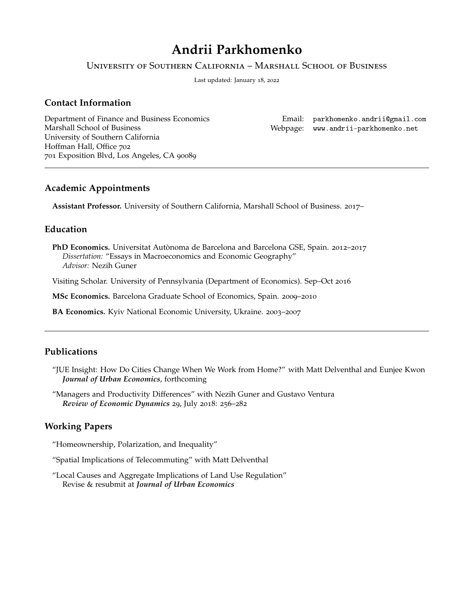# **Andrii Parkhomenko**

University of Southern California – Marshall School of Business

Last updated: January 18, 2022

# **Contact Information**

Department of Finance and Business Economics Marshall School of Business University of Southern California Hoffman Hall, Office 702 701 Exposition Blvd, Los Angeles, CA 90089

Email: [parkhomenko.andrii@gmail.com](mailto:parkhomenko.andrii@gmail.com) Webpage: <www.andrii-parkhomenko.net>

 $\mathbf{P}$ 

## **Academic Appointments**

**Assistant Professor.** University of Southern California, Marshall School of Business. 2017–

# **Education**

**PhD Economics.** Universitat Autònoma de Barcelona and Barcelona GSE, Spain. 2012–2017 Dissertation: "Essays in Macroeconomics and Economic Geography" sp *Advisor:* Nezih Guner

Visiting Scholar. University of Pennsylvania (Department of Economics). Sep–Oct 2016

**MSc Economics.** Barcelona Graduate School of Economics, Spain. 2009–2010

**BA Economics.** Kyiv National Economic University, Ukraine. 2003–2007

# **Publications**

- "JUE Insight: How Do Cities Change When We Work from Home?" with Matt Delventhal and Eunjee Kwon Journal of Urban Economics, forthcoming
- "Managers and Productivity Differences" with Nezih Guner and Gustavo Ventura sp *Review of Economic Dynamics* 29, July 2018: 256–282

## **Working Papers**

"Homeownership, Polarization, and Inequality"

"Spatial Implications of Telecommuting" with Matt Delventhal

"Local Causes and Aggregate Implications of Land Use Regulation" Revise & resubmit at *Journal of Urban Economics*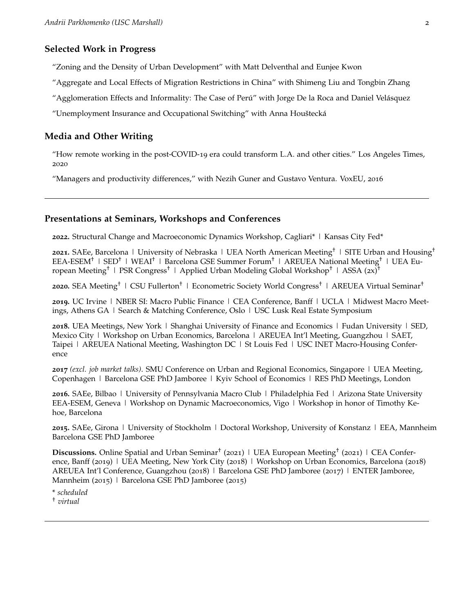#### **Selected Work in Progress**

"Zoning and the Density of Urban Development" with Matt Delventhal and Eunjee Kwon

"Aggregate and Local Effects of Migration Restrictions in China" with Shimeng Liu and Tongbin Zhang

"Agglomeration Effects and Informality: The Case of Perú" with Jorge De la Roca and Daniel Velásquez

"Unemployment Insurance and Occupational Switching" with Anna Houštecká

#### **Media and Other Writing**

["How remote working in the post-COVID-](https://www.latimes.com/opinion/story/2020-12-20/covid-los-angeles-cities-remote-work)19 era could transform L.A. and other cities." Los Angeles Times, 2020

["Managers and productivity differences,"](https://voxeu.org/article/managers-and-productivity-differences) with Nezih Guner and Gustavo Ventura. VoxEU, 2016

## **Presentations at Seminars, Workshops and Conferences**

**2022.** Structural Change and Macroeconomic Dynamics Workshop, Cagliari\* | Kansas City Fed\*

**2021.** SAEe, Barcelona | University of Nebraska | UEA North American Meeting† | SITE Urban and Housing† EEA-ESEM† | SED† | WEAI† | Barcelona GSE Summer Forum† | AREUEA National Meeting† | UEA European Meeting<sup>†</sup> | PSR Congress<sup>†</sup> | Applied Urban Modeling Global Workshop<sup>†</sup> | ASSA (2x)<sup>†</sup>

**2020.** SEA Meeting† | CSU Fullerton† | Econometric Society World Congress† | AREUEA Virtual Seminar†

**2019.** UC Irvine | NBER SI: Macro Public Finance | CEA Conference, Banff | UCLA | Midwest Macro Meetings, Athens GA | Search & Matching Conference, Oslo | USC Lusk Real Estate Symposium

**2018.** UEA Meetings, New York | Shanghai University of Finance and Economics | Fudan University | SED, Mexico City | Workshop on Urban Economics, Barcelona | AREUEA Int'l Meeting, Guangzhou | SAET, Taipei | AREUEA National Meeting, Washington DC | St Louis Fed | USC INET Macro-Housing Conference

**2017** *(excl. job market talks)*. SMU Conference on Urban and Regional Economics, Singapore | UEA Meeting, Copenhagen | Barcelona GSE PhD Jamboree | Kyiv School of Economics | RES PhD Meetings, London

**2016.** SAEe, Bilbao | University of Pennsylvania Macro Club | Philadelphia Fed | Arizona State University EEA-ESEM, Geneva | Workshop on Dynamic Macroeconomics, Vigo | Workshop in honor of Timothy Kehoe, Barcelona

**2015.** SAEe, Girona | University of Stockholm | Doctoral Workshop, University of Konstanz | EEA, Mannheim Barcelona GSE PhD Jamboree

Discussions. Online Spatial and Urban Seminar<sup>†</sup> (2021) | UEA European Meeting<sup>†</sup> (2021) | CEA Conference, Banff (2019) | UEA Meeting, New York City (2018) | Workshop on Urban Economics, Barcelona (2018) AREUEA Int'l Conference, Guangzhou (2018) | Barcelona GSE PhD Jamboree (2017) | ENTER Jamboree, Mannheim (2015) | Barcelona GSE PhD Jamboree (2015)

\* *scheduled*

† *virtual*